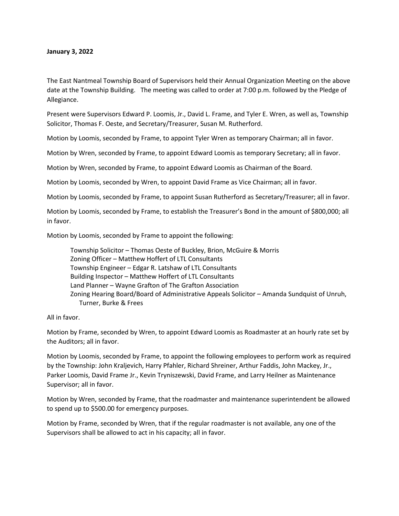## **January 3, 2022**

The East Nantmeal Township Board of Supervisors held their Annual Organization Meeting on the above date at the Township Building. The meeting was called to order at 7:00 p.m. followed by the Pledge of Allegiance.

Present were Supervisors Edward P. Loomis, Jr., David L. Frame, and Tyler E. Wren, as well as, Township Solicitor, Thomas F. Oeste, and Secretary/Treasurer, Susan M. Rutherford.

Motion by Loomis, seconded by Frame, to appoint Tyler Wren as temporary Chairman; all in favor.

Motion by Wren, seconded by Frame, to appoint Edward Loomis as temporary Secretary; all in favor.

Motion by Wren, seconded by Frame, to appoint Edward Loomis as Chairman of the Board.

Motion by Loomis, seconded by Wren, to appoint David Frame as Vice Chairman; all in favor.

Motion by Loomis, seconded by Frame, to appoint Susan Rutherford as Secretary/Treasurer; all in favor.

Motion by Loomis, seconded by Frame, to establish the Treasurer's Bond in the amount of \$800,000; all in favor.

Motion by Loomis, seconded by Frame to appoint the following:

Township Solicitor – Thomas Oeste of Buckley, Brion, McGuire & Morris Zoning Officer – Matthew Hoffert of LTL Consultants Township Engineer – Edgar R. Latshaw of LTL Consultants Building Inspector – Matthew Hoffert of LTL Consultants Land Planner – Wayne Grafton of The Grafton Association Zoning Hearing Board/Board of Administrative Appeals Solicitor – Amanda Sundquist of Unruh, Turner, Burke & Frees

## All in favor.

Motion by Frame, seconded by Wren, to appoint Edward Loomis as Roadmaster at an hourly rate set by the Auditors; all in favor.

Motion by Loomis, seconded by Frame, to appoint the following employees to perform work as required by the Township: John Kraljevich, Harry Pfahler, Richard Shreiner, Arthur Faddis, John Mackey, Jr., Parker Loomis, David Frame Jr., Kevin Tryniszewski, David Frame, and Larry Heilner as Maintenance Supervisor; all in favor.

Motion by Wren, seconded by Frame, that the roadmaster and maintenance superintendent be allowed to spend up to \$500.00 for emergency purposes.

Motion by Frame, seconded by Wren, that if the regular roadmaster is not available, any one of the Supervisors shall be allowed to act in his capacity; all in favor.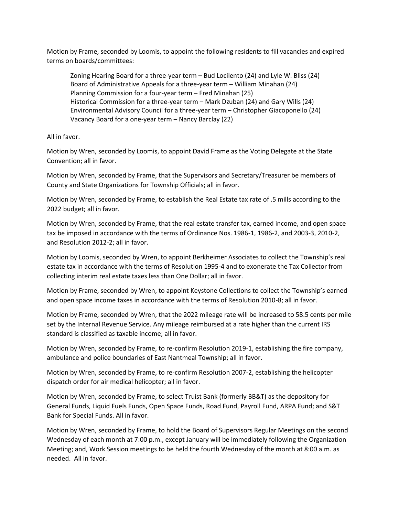Motion by Frame, seconded by Loomis, to appoint the following residents to fill vacancies and expired terms on boards/committees:

Zoning Hearing Board for a three-year term – Bud Locilento (24) and Lyle W. Bliss (24) Board of Administrative Appeals for a three-year term – William Minahan (24) Planning Commission for a four-year term – Fred Minahan (25) Historical Commission for a three-year term – Mark Dzuban (24) and Gary Wills (24) Environmental Advisory Council for a three-year term – Christopher Giacoponello (24) Vacancy Board for a one-year term – Nancy Barclay (22)

All in favor.

Motion by Wren, seconded by Loomis, to appoint David Frame as the Voting Delegate at the State Convention; all in favor.

Motion by Wren, seconded by Frame, that the Supervisors and Secretary/Treasurer be members of County and State Organizations for Township Officials; all in favor.

Motion by Wren, seconded by Frame, to establish the Real Estate tax rate of .5 mills according to the 2022 budget; all in favor.

Motion by Wren, seconded by Frame, that the real estate transfer tax, earned income, and open space tax be imposed in accordance with the terms of Ordinance Nos. 1986-1, 1986-2, and 2003-3, 2010-2, and Resolution 2012-2; all in favor.

Motion by Loomis, seconded by Wren, to appoint Berkheimer Associates to collect the Township's real estate tax in accordance with the terms of Resolution 1995-4 and to exonerate the Tax Collector from collecting interim real estate taxes less than One Dollar; all in favor.

Motion by Frame, seconded by Wren, to appoint Keystone Collections to collect the Township's earned and open space income taxes in accordance with the terms of Resolution 2010-8; all in favor.

Motion by Frame, seconded by Wren, that the 2022 mileage rate will be increased to 58.5 cents per mile set by the Internal Revenue Service. Any mileage reimbursed at a rate higher than the current IRS standard is classified as taxable income; all in favor.

Motion by Wren, seconded by Frame, to re-confirm Resolution 2019-1, establishing the fire company, ambulance and police boundaries of East Nantmeal Township; all in favor.

Motion by Wren, seconded by Frame, to re-confirm Resolution 2007-2, establishing the helicopter dispatch order for air medical helicopter; all in favor.

Motion by Wren, seconded by Frame, to select Truist Bank (formerly BB&T) as the depository for General Funds, Liquid Fuels Funds, Open Space Funds, Road Fund, Payroll Fund, ARPA Fund; and S&T Bank for Special Funds. All in favor.

Motion by Wren, seconded by Frame, to hold the Board of Supervisors Regular Meetings on the second Wednesday of each month at 7:00 p.m., except January will be immediately following the Organization Meeting; and, Work Session meetings to be held the fourth Wednesday of the month at 8:00 a.m. as needed. All in favor.